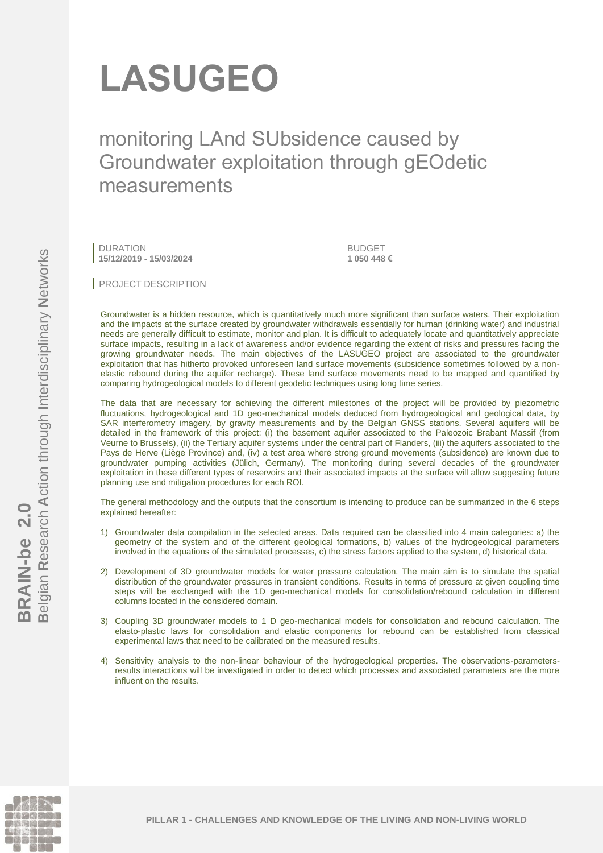# **LASUGEO**

monitoring LAnd SUbsidence caused by Groundwater exploitation through gEOdetic measurements

DURATION **15/12/2019 - 15/03/2024**

**BUDGET 1 050 448 €**

PROJECT DESCRIPTION

Groundwater is a hidden resource, which is quantitatively much more significant than surface waters. Their exploitation and the impacts at the surface created by groundwater withdrawals essentially for human (drinking water) and industrial needs are generally difficult to estimate, monitor and plan. It is difficult to adequately locate and quantitatively appreciate surface impacts, resulting in a lack of awareness and/or evidence regarding the extent of risks and pressures facing the growing groundwater needs. The main objectives of the LASUGEO project are associated to the groundwater exploitation that has hitherto provoked unforeseen land surface movements (subsidence sometimes followed by a nonelastic rebound during the aquifer recharge). These land surface movements need to be mapped and quantified by comparing hydrogeological models to different geodetic techniques using long time series.

The data that are necessary for achieving the different milestones of the project will be provided by piezometric fluctuations, hydrogeological and 1D geo-mechanical models deduced from hydrogeological and geological data, by SAR interferometry imagery, by gravity measurements and by the Belgian GNSS stations. Several aquifers will be detailed in the framework of this project: (i) the basement aquifer associated to the Paleozoic Brabant Massif (from Veurne to Brussels), (ii) the Tertiary aquifer systems under the central part of Flanders, (iii) the aquifers associated to the Pays de Herve (Liège Province) and, (iv) a test area where strong ground movements (subsidence) are known due to groundwater pumping activities (Jülich, Germany). The monitoring during several decades of the groundwater exploitation in these different types of reservoirs and their associated impacts at the surface will allow suggesting future planning use and mitigation procedures for each ROI.

The general methodology and the outputs that the consortium is intending to produce can be summarized in the 6 steps explained hereafter:

- 1) Groundwater data compilation in the selected areas. Data required can be classified into 4 main categories: a) the geometry of the system and of the different geological formations, b) values of the hydrogeological parameters involved in the equations of the simulated processes, c) the stress factors applied to the system, d) historical data.
- 2) Development of 3D groundwater models for water pressure calculation. The main aim is to simulate the spatial distribution of the groundwater pressures in transient conditions. Results in terms of pressure at given coupling time steps will be exchanged with the 1D geo-mechanical models for consolidation/rebound calculation in different columns located in the considered domain.
- 3) Coupling 3D groundwater models to 1 D geo-mechanical models for consolidation and rebound calculation. The elasto-plastic laws for consolidation and elastic components for rebound can be established from classical experimental laws that need to be calibrated on the measured results.
- 4) Sensitivity analysis to the non-linear behaviour of the hydrogeological properties. The observations-parametersresults interactions will be investigated in order to detect which processes and associated parameters are the more influent on the results.